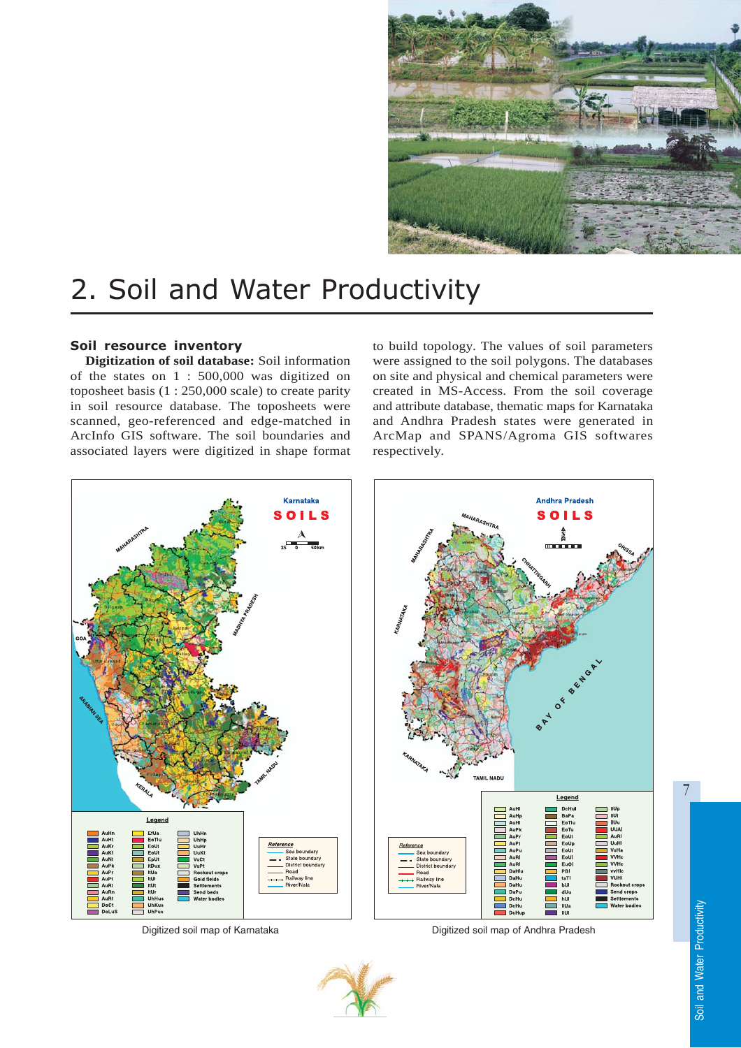

# 2. Soil and Water Productivity

## Soil resource inventory

**Digitization of soil database:** Soil information of the states on 1 : 500,000 was digitized on toposheet basis (1 : 250,000 scale) to create parity in soil resource database. The toposheets were scanned, geo-referenced and edge-matched in ArcInfo GIS software. The soil boundaries and associated layers were digitized in shape format to build topology. The values of soil parameters were assigned to the soil polygons. The databases on site and physical and chemical parameters were created in MS-Access. From the soil coverage and attribute database, thematic maps for Karnataka and Andhra Pradesh states were generated in ArcMap and SPANS/Agroma GIS softwares respectively.



Digitized soil map of Karnataka Digitized soil map of Andhra Pradesh



7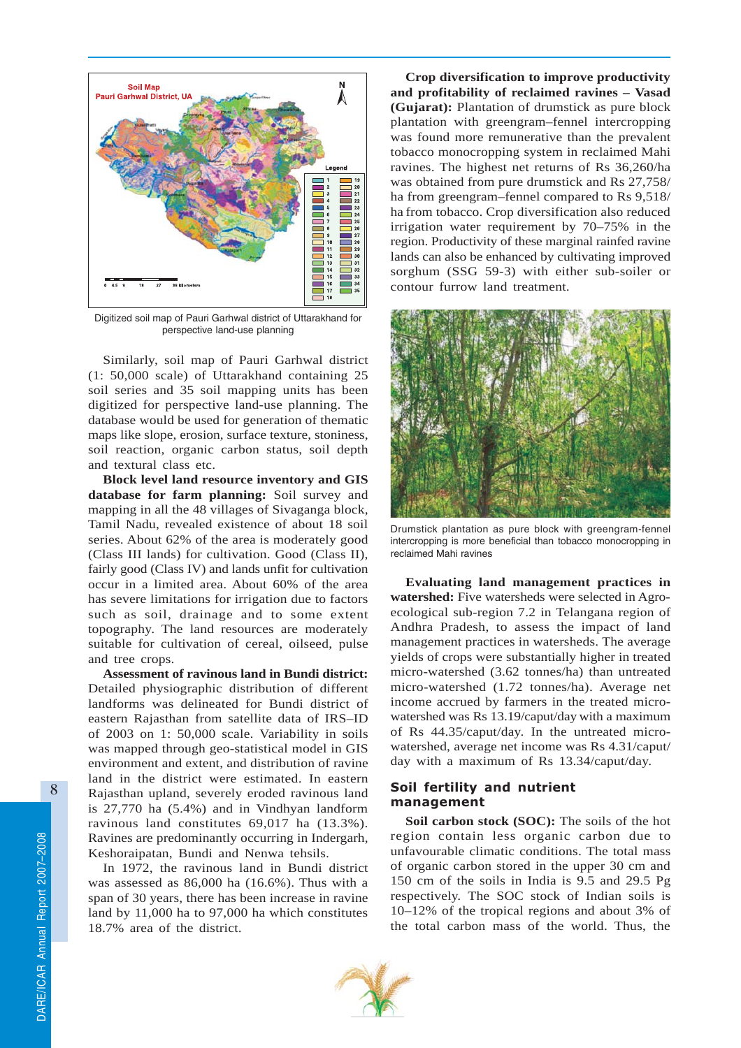

Digitized soil map of Pauri Garhwal district of Uttarakhand for perspective land-use planning

Similarly, soil map of Pauri Garhwal district (1: 50,000 scale) of Uttarakhand containing 25 soil series and 35 soil mapping units has been digitized for perspective land-use planning. The database would be used for generation of thematic maps like slope, erosion, surface texture, stoniness, soil reaction, organic carbon status, soil depth and textural class etc.

**Block level land resource inventory and GIS database for farm planning:** Soil survey and mapping in all the 48 villages of Sivaganga block, Tamil Nadu, revealed existence of about 18 soil series. About 62% of the area is moderately good (Class III lands) for cultivation. Good (Class II), fairly good (Class IV) and lands unfit for cultivation occur in a limited area. About 60% of the area has severe limitations for irrigation due to factors such as soil, drainage and to some extent topography. The land resources are moderately suitable for cultivation of cereal, oilseed, pulse and tree crops.

**Assessment of ravinous land in Bundi district:** Detailed physiographic distribution of different landforms was delineated for Bundi district of eastern Rajasthan from satellite data of IRS–ID of 2003 on 1: 50,000 scale. Variability in soils was mapped through geo-statistical model in GIS environment and extent, and distribution of ravine land in the district were estimated. In eastern Rajasthan upland, severely eroded ravinous land is 27,770 ha (5.4%) and in Vindhyan landform ravinous land constitutes 69,017 ha (13.3%). Ravines are predominantly occurring in Indergarh, Keshoraipatan, Bundi and Nenwa tehsils.

In 1972, the ravinous land in Bundi district was assessed as 86,000 ha (16.6%). Thus with a span of 30 years, there has been increase in ravine land by 11,000 ha to 97,000 ha which constitutes 18.7% area of the district.

**Crop diversification to improve productivity and profitability of reclaimed ravines – Vasad (Gujarat):** Plantation of drumstick as pure block plantation with greengram–fennel intercropping was found more remunerative than the prevalent tobacco monocropping system in reclaimed Mahi ravines. The highest net returns of Rs 36,260/ha was obtained from pure drumstick and Rs 27,758/ ha from greengram–fennel compared to Rs 9,518/ ha from tobacco. Crop diversification also reduced irrigation water requirement by 70–75% in the region. Productivity of these marginal rainfed ravine lands can also be enhanced by cultivating improved sorghum (SSG 59-3) with either sub-soiler or contour furrow land treatment.



Drumstick plantation as pure block with greengram-fennel intercropping is more beneficial than tobacco monocropping in reclaimed Mahi ravines

**Evaluating land management practices in watershed:** Five watersheds were selected in Agroecological sub-region 7.2 in Telangana region of Andhra Pradesh, to assess the impact of land management practices in watersheds. The average yields of crops were substantially higher in treated micro-watershed (3.62 tonnes/ha) than untreated micro-watershed (1.72 tonnes/ha). Average net income accrued by farmers in the treated microwatershed was Rs 13.19/caput/day with a maximum of Rs 44.35/caput/day. In the untreated microwatershed, average net income was Rs 4.31/caput/ day with a maximum of Rs 13.34/caput/day.

### Soil fertility and nutrient management

**Soil carbon stock (SOC):** The soils of the hot region contain less organic carbon due to unfavourable climatic conditions. The total mass of organic carbon stored in the upper 30 cm and 150 cm of the soils in India is 9.5 and 29.5 Pg respectively. The SOC stock of Indian soils is 10–12% of the tropical regions and about 3% of the total carbon mass of the world. Thus, the



8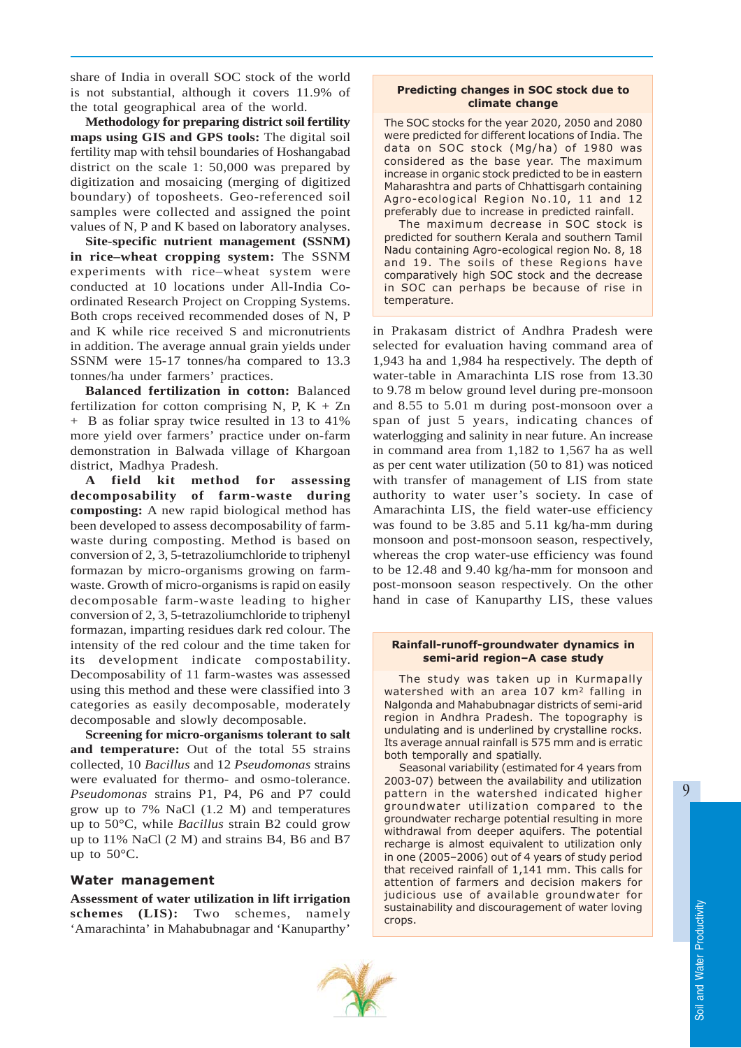share of India in overall SOC stock of the world is not substantial, although it covers 11.9% of the total geographical area of the world.

**Methodology for preparing district soil fertility maps using GIS and GPS tools:** The digital soil fertility map with tehsil boundaries of Hoshangabad district on the scale 1: 50,000 was prepared by digitization and mosaicing (merging of digitized boundary) of toposheets. Geo-referenced soil samples were collected and assigned the point values of N, P and K based on laboratory analyses.

**Site-specific nutrient management (SSNM) in rice–wheat cropping system:** The SSNM experiments with rice–wheat system were conducted at 10 locations under All-India Coordinated Research Project on Cropping Systems. Both crops received recommended doses of N, P and K while rice received S and micronutrients in addition. The average annual grain yields under SSNM were 15-17 tonnes/ha compared to 13.3 tonnes/ha under farmers' practices.

**Balanced fertilization in cotton:** Balanced fertilization for cotton comprising N, P,  $K + Zn$ + B as foliar spray twice resulted in 13 to 41% more yield over farmers' practice under on-farm demonstration in Balwada village of Khargoan district, Madhya Pradesh.

**A field kit method for assessing decomposability of farm-waste during composting:** A new rapid biological method has been developed to assess decomposability of farmwaste during composting. Method is based on conversion of 2, 3, 5-tetrazoliumchloride to triphenyl formazan by micro-organisms growing on farmwaste. Growth of micro-organisms is rapid on easily decomposable farm-waste leading to higher conversion of 2, 3, 5-tetrazoliumchloride to triphenyl formazan, imparting residues dark red colour. The intensity of the red colour and the time taken for its development indicate compostability. Decomposability of 11 farm-wastes was assessed using this method and these were classified into 3 categories as easily decomposable, moderately decomposable and slowly decomposable.

**Screening for micro-organisms tolerant to salt and temperature:** Out of the total 55 strains collected, 10 *Bacillus* and 12 *Pseudomonas* strains were evaluated for thermo- and osmo-tolerance. *Pseudomonas* strains P1, P4, P6 and P7 could grow up to 7% NaCl (1.2 M) and temperatures up to 50°C, while *Bacillus* strain B2 could grow up to 11% NaCl (2 M) and strains B4, B6 and B7 up to 50°C.

### Water management

**Assessment of water utilization in lift irrigation schemes (LIS):** Two schemes, namely 'Amarachinta' in Mahabubnagar and 'Kanuparthy'

#### Predicting changes in SOC stock due to climate change

The SOC stocks for the year 2020, 2050 and 2080 were predicted for different locations of India. The data on SOC stock (Mg/ha) of 1980 was considered as the base year. The maximum increase in organic stock predicted to be in eastern Maharashtra and parts of Chhattisgarh containing Agro-ecological Region No.10, 11 and 12 preferably due to increase in predicted rainfall.

The maximum decrease in SOC stock is predicted for southern Kerala and southern Tamil Nadu containing Agro-ecological region No. 8, 18 and 19. The soils of these Regions have comparatively high SOC stock and the decrease in SOC can perhaps be because of rise in temperature.

in Prakasam district of Andhra Pradesh were selected for evaluation having command area of 1,943 ha and 1,984 ha respectively. The depth of water-table in Amarachinta LIS rose from 13.30 to 9.78 m below ground level during pre-monsoon and 8.55 to 5.01 m during post-monsoon over a span of just 5 years, indicating chances of waterlogging and salinity in near future. An increase in command area from 1,182 to 1,567 ha as well as per cent water utilization (50 to 81) was noticed with transfer of management of LIS from state authority to water user's society. In case of Amarachinta LIS, the field water-use efficiency was found to be 3.85 and 5.11 kg/ha-mm during monsoon and post-monsoon season, respectively, whereas the crop water-use efficiency was found to be 12.48 and 9.40 kg/ha-mm for monsoon and post-monsoon season respectively. On the other hand in case of Kanuparthy LIS, these values

#### Rainfall-runoff-groundwater dynamics in semi-arid region–A case study

The study was taken up in Kurmapally watershed with an area 107 km<sup>2</sup> falling in Nalgonda and Mahabubnagar districts of semi-arid region in Andhra Pradesh. The topography is undulating and is underlined by crystalline rocks. Its average annual rainfall is 575 mm and is erratic both temporally and spatially.

Seasonal variability (estimated for 4 years from 2003-07) between the availability and utilization pattern in the watershed indicated higher groundwater utilization compared to the groundwater recharge potential resulting in more withdrawal from deeper aquifers. The potential recharge is almost equivalent to utilization only in one (2005–2006) out of 4 years of study period that received rainfall of 1,141 mm. This calls for attention of farmers and decision makers for judicious use of available groundwater for sustainability and discouragement of water loving crops.